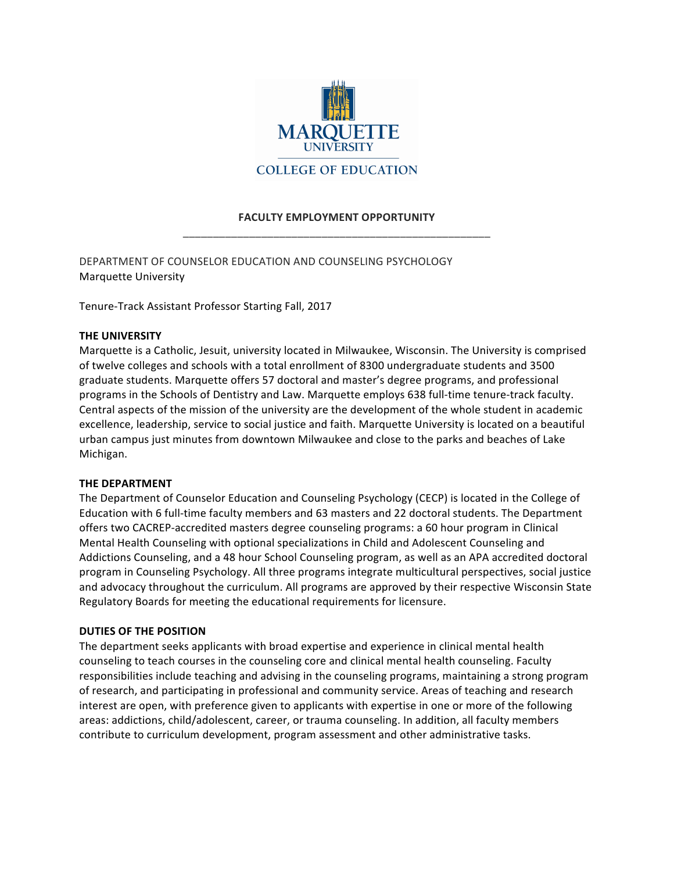

# **FACULTY EMPLOYMENT OPPORTUNITY** \_\_\_\_\_\_\_\_\_\_\_\_\_\_\_\_\_\_\_\_\_\_\_\_\_\_\_\_\_\_\_\_\_\_\_\_\_\_\_\_\_\_\_\_\_\_\_\_\_\_\_

DEPARTMENT OF COUNSELOR EDUCATION AND COUNSELING PSYCHOLOGY Marquette University

Tenure-Track Assistant Professor Starting Fall, 2017

### **THE UNIVERSITY**

Marquette is a Catholic, Jesuit, university located in Milwaukee, Wisconsin. The University is comprised of twelve colleges and schools with a total enrollment of 8300 undergraduate students and 3500 graduate students. Marquette offers 57 doctoral and master's degree programs, and professional programs in the Schools of Dentistry and Law. Marquette employs 638 full-time tenure-track faculty. Central aspects of the mission of the university are the development of the whole student in academic excellence, leadership, service to social justice and faith. Marquette University is located on a beautiful urban campus just minutes from downtown Milwaukee and close to the parks and beaches of Lake Michigan. 

#### **THE DEPARTMENT**

The Department of Counselor Education and Counseling Psychology (CECP) is located in the College of Education with 6 full-time faculty members and 63 masters and 22 doctoral students. The Department offers two CACREP-accredited masters degree counseling programs: a 60 hour program in Clinical Mental Health Counseling with optional specializations in Child and Adolescent Counseling and Addictions Counseling, and a 48 hour School Counseling program, as well as an APA accredited doctoral program in Counseling Psychology. All three programs integrate multicultural perspectives, social justice and advocacy throughout the curriculum. All programs are approved by their respective Wisconsin State Regulatory Boards for meeting the educational requirements for licensure.

# **DUTIES OF THE POSITION**

The department seeks applicants with broad expertise and experience in clinical mental health counseling to teach courses in the counseling core and clinical mental health counseling. Faculty responsibilities include teaching and advising in the counseling programs, maintaining a strong program of research, and participating in professional and community service. Areas of teaching and research interest are open, with preference given to applicants with expertise in one or more of the following areas: addictions, child/adolescent, career, or trauma counseling. In addition, all faculty members contribute to curriculum development, program assessment and other administrative tasks.